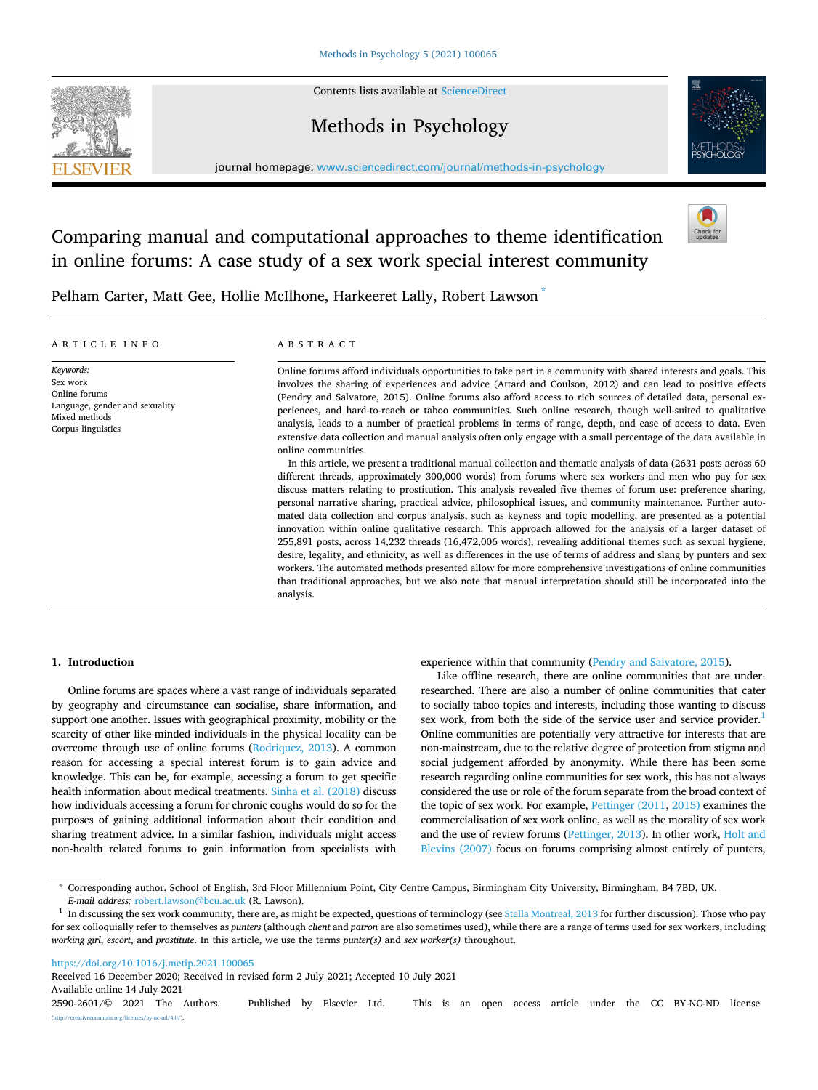

Contents lists available at [ScienceDirect](www.sciencedirect.com/science/journal/25902601)

# Methods in Psychology



journal homepage: [www.sciencedirect.com/journal/methods-in-psychology](https://www.sciencedirect.com/journal/methods-in-psychology) 

# Comparing manual and computational approaches to theme identification in online forums: A case study of a sex work special interest community



Pelham Carter, Matt Gee, Hollie McIlhone, Harkeeret Lally, Robert Lawson \*

## ARTICLE INFO

*Keywords:*  Sex work Online forums Language, gender and sexuality Mixed methods Corpus linguistics

## ABSTRACT

Online forums afford individuals opportunities to take part in a community with shared interests and goals. This involves the sharing of experiences and advice (Attard and Coulson, 2012) and can lead to positive effects (Pendry and Salvatore, 2015). Online forums also afford access to rich sources of detailed data, personal experiences, and hard-to-reach or taboo communities. Such online research, though well-suited to qualitative analysis, leads to a number of practical problems in terms of range, depth, and ease of access to data. Even extensive data collection and manual analysis often only engage with a small percentage of the data available in online communities.

In this article, we present a traditional manual collection and thematic analysis of data (2631 posts across 60 different threads, approximately 300,000 words) from forums where sex workers and men who pay for sex discuss matters relating to prostitution. This analysis revealed five themes of forum use: preference sharing, personal narrative sharing, practical advice, philosophical issues, and community maintenance. Further automated data collection and corpus analysis, such as keyness and topic modelling, are presented as a potential innovation within online qualitative research. This approach allowed for the analysis of a larger dataset of 255,891 posts, across 14,232 threads (16,472,006 words), revealing additional themes such as sexual hygiene, desire, legality, and ethnicity, as well as differences in the use of terms of address and slang by punters and sex workers. The automated methods presented allow for more comprehensive investigations of online communities than traditional approaches, but we also note that manual interpretation should still be incorporated into the analysis.

## **1. Introduction**

Online forums are spaces where a vast range of individuals separated by geography and circumstance can socialise, share information, and support one another. Issues with geographical proximity, mobility or the scarcity of other like-minded individuals in the physical locality can be overcome through use of online forums [\(Rodriquez, 2013](#page-9-0)). A common reason for accessing a special interest forum is to gain advice and knowledge. This can be, for example, accessing a forum to get specific health information about medical treatments. [Sinha et al. \(2018\)](#page-9-0) discuss how individuals accessing a forum for chronic coughs would do so for the purposes of gaining additional information about their condition and sharing treatment advice. In a similar fashion, individuals might access non-health related forums to gain information from specialists with experience within that community ([Pendry and Salvatore, 2015\)](#page-9-0).

Like offline research, there are online communities that are underresearched. There are also a number of online communities that cater to socially taboo topics and interests, including those wanting to discuss sex work, from both the side of the service user and service provider.<sup>1</sup> Online communities are potentially very attractive for interests that are non-mainstream, due to the relative degree of protection from stigma and social judgement afforded by anonymity. While there has been some research regarding online communities for sex work, this has not always considered the use or role of the forum separate from the broad context of the topic of sex work. For example, [Pettinger \(2011, 2015\)](#page-9-0) examines the commercialisation of sex work online, as well as the morality of sex work and the use of review forums ([Pettinger, 2013](#page-9-0)). In other work, [Holt and](#page-8-0)  [Blevins \(2007\)](#page-8-0) focus on forums comprising almost entirely of punters,

<https://doi.org/10.1016/j.metip.2021.100065>

Available online 14 July 2021 2590-2601/© 2021 The Authors. Published by Elsevier Ltd. This is an open access article under the CC BY-NC-ND license [\(http://creativecommons.org/licenses/by-nc-nd/4.0/\)](http://creativecommons.org/licenses/by-nc-nd/4.0/). Received 16 December 2020; Received in revised form 2 July 2021; Accepted 10 July 2021

<sup>\*</sup> Corresponding author. School of English, 3rd Floor Millennium Point, City Centre Campus, Birmingham City University, Birmingham, B4 7BD, UK.

*E-mail address:* [robert.lawson@bcu.ac.uk](mailto:robert.lawson@bcu.ac.uk) (R. Lawson). 1 In discussing the sex work community, there are, as might be expected, questions of terminology (see [Stella Montreal, 2013](#page-9-0) for further discussion). Those who pay for sex colloquially refer to themselves as *punters* (although *client* and *patron* are also sometimes used), while there are a range of terms used for sex workers, including *working girl*, *escort*, and *prostitute*. In this article, we use the terms *punter(s)* and *sex worker(s)* throughout.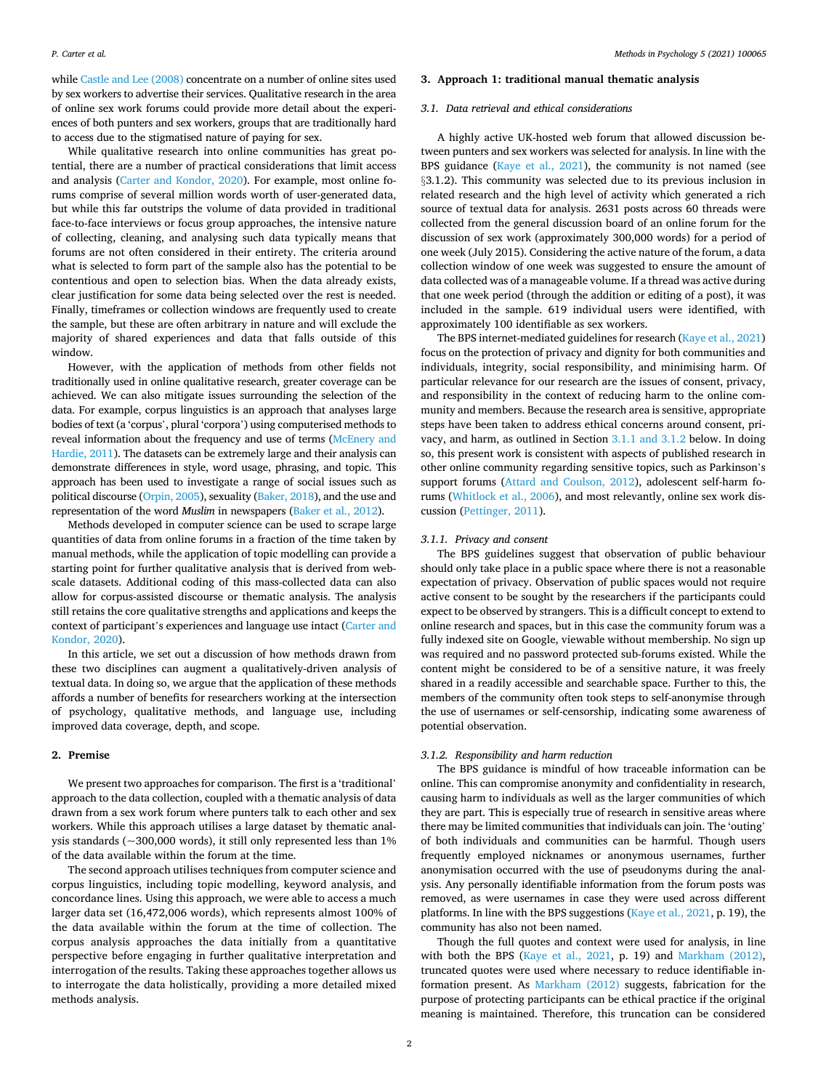while [Castle and Lee \(2008\)](#page-8-0) concentrate on a number of online sites used by sex workers to advertise their services. Qualitative research in the area of online sex work forums could provide more detail about the experiences of both punters and sex workers, groups that are traditionally hard to access due to the stigmatised nature of paying for sex.

While qualitative research into online communities has great potential, there are a number of practical considerations that limit access and analysis [\(Carter and Kondor, 2020](#page-8-0)). For example, most online forums comprise of several million words worth of user-generated data, but while this far outstrips the volume of data provided in traditional face-to-face interviews or focus group approaches, the intensive nature of collecting, cleaning, and analysing such data typically means that forums are not often considered in their entirety. The criteria around what is selected to form part of the sample also has the potential to be contentious and open to selection bias. When the data already exists, clear justification for some data being selected over the rest is needed. Finally, timeframes or collection windows are frequently used to create the sample, but these are often arbitrary in nature and will exclude the majority of shared experiences and data that falls outside of this window.

However, with the application of methods from other fields not traditionally used in online qualitative research, greater coverage can be achieved. We can also mitigate issues surrounding the selection of the data. For example, corpus linguistics is an approach that analyses large bodies of text (a 'corpus', plural 'corpora') using computerised methods to reveal information about the frequency and use of terms [\(McEnery and](#page-9-0)  [Hardie, 2011\)](#page-9-0). The datasets can be extremely large and their analysis can demonstrate differences in style, word usage, phrasing, and topic. This approach has been used to investigate a range of social issues such as political discourse [\(Orpin, 2005\)](#page-9-0), sexuality ([Baker, 2018\)](#page-8-0), and the use and representation of the word *Muslim* in newspapers ([Baker et al., 2012](#page-8-0)).

Methods developed in computer science can be used to scrape large quantities of data from online forums in a fraction of the time taken by manual methods, while the application of topic modelling can provide a starting point for further qualitative analysis that is derived from webscale datasets. Additional coding of this mass-collected data can also allow for corpus-assisted discourse or thematic analysis. The analysis still retains the core qualitative strengths and applications and keeps the context of participant's experiences and language use intact ([Carter and](#page-8-0)  [Kondor, 2020](#page-8-0)).

In this article, we set out a discussion of how methods drawn from these two disciplines can augment a qualitatively-driven analysis of textual data. In doing so, we argue that the application of these methods affords a number of benefits for researchers working at the intersection of psychology, qualitative methods, and language use, including improved data coverage, depth, and scope.

# **2. Premise**

We present two approaches for comparison. The first is a 'traditional' approach to the data collection, coupled with a thematic analysis of data drawn from a sex work forum where punters talk to each other and sex workers. While this approach utilises a large dataset by thematic analysis standards ( $\sim$ 300,000 words), it still only represented less than 1% of the data available within the forum at the time.

The second approach utilises techniques from computer science and corpus linguistics, including topic modelling, keyword analysis, and concordance lines. Using this approach, we were able to access a much larger data set (16,472,006 words), which represents almost 100% of the data available within the forum at the time of collection. The corpus analysis approaches the data initially from a quantitative perspective before engaging in further qualitative interpretation and interrogation of the results. Taking these approaches together allows us to interrogate the data holistically, providing a more detailed mixed methods analysis.

# **3. Approach 1: traditional manual thematic analysis**

## *3.1. Data retrieval and ethical considerations*

A highly active UK-hosted web forum that allowed discussion between punters and sex workers was selected for analysis. In line with the BPS guidance [\(Kaye et al., 2021](#page-8-0)), the community is not named (see §3.1.2). This community was selected due to its previous inclusion in related research and the high level of activity which generated a rich source of textual data for analysis. 2631 posts across 60 threads were collected from the general discussion board of an online forum for the discussion of sex work (approximately 300,000 words) for a period of one week (July 2015). Considering the active nature of the forum, a data collection window of one week was suggested to ensure the amount of data collected was of a manageable volume. If a thread was active during that one week period (through the addition or editing of a post), it was included in the sample. 619 individual users were identified, with approximately 100 identifiable as sex workers.

The BPS internet-mediated guidelines for research ([Kaye et al., 2021\)](#page-8-0) focus on the protection of privacy and dignity for both communities and individuals, integrity, social responsibility, and minimising harm. Of particular relevance for our research are the issues of consent, privacy, and responsibility in the context of reducing harm to the online community and members. Because the research area is sensitive, appropriate steps have been taken to address ethical concerns around consent, privacy, and harm, as outlined in Section 3.1.1 and 3.1.2 below. In doing so, this present work is consistent with aspects of published research in other online community regarding sensitive topics, such as Parkinson's support forums ([Attard and Coulson, 2012](#page-8-0)), adolescent self-harm forums ([Whitlock et al., 2006](#page-9-0)), and most relevantly, online sex work discussion ([Pettinger, 2011](#page-9-0)).

## *3.1.1. Privacy and consent*

The BPS guidelines suggest that observation of public behaviour should only take place in a public space where there is not a reasonable expectation of privacy. Observation of public spaces would not require active consent to be sought by the researchers if the participants could expect to be observed by strangers. This is a difficult concept to extend to online research and spaces, but in this case the community forum was a fully indexed site on Google, viewable without membership. No sign up was required and no password protected sub-forums existed. While the content might be considered to be of a sensitive nature, it was freely shared in a readily accessible and searchable space. Further to this, the members of the community often took steps to self-anonymise through the use of usernames or self-censorship, indicating some awareness of potential observation.

## *3.1.2. Responsibility and harm reduction*

The BPS guidance is mindful of how traceable information can be online. This can compromise anonymity and confidentiality in research, causing harm to individuals as well as the larger communities of which they are part. This is especially true of research in sensitive areas where there may be limited communities that individuals can join. The 'outing' of both individuals and communities can be harmful. Though users frequently employed nicknames or anonymous usernames, further anonymisation occurred with the use of pseudonyms during the analysis. Any personally identifiable information from the forum posts was removed, as were usernames in case they were used across different platforms. In line with the BPS suggestions ([Kaye et al., 2021,](#page-8-0) p. 19), the community has also not been named.

Though the full quotes and context were used for analysis, in line with both the BPS [\(Kaye et al., 2021](#page-8-0), p. 19) and [Markham \(2012\)](#page-9-0), truncated quotes were used where necessary to reduce identifiable information present. As [Markham \(2012\)](#page-9-0) suggests, fabrication for the purpose of protecting participants can be ethical practice if the original meaning is maintained. Therefore, this truncation can be considered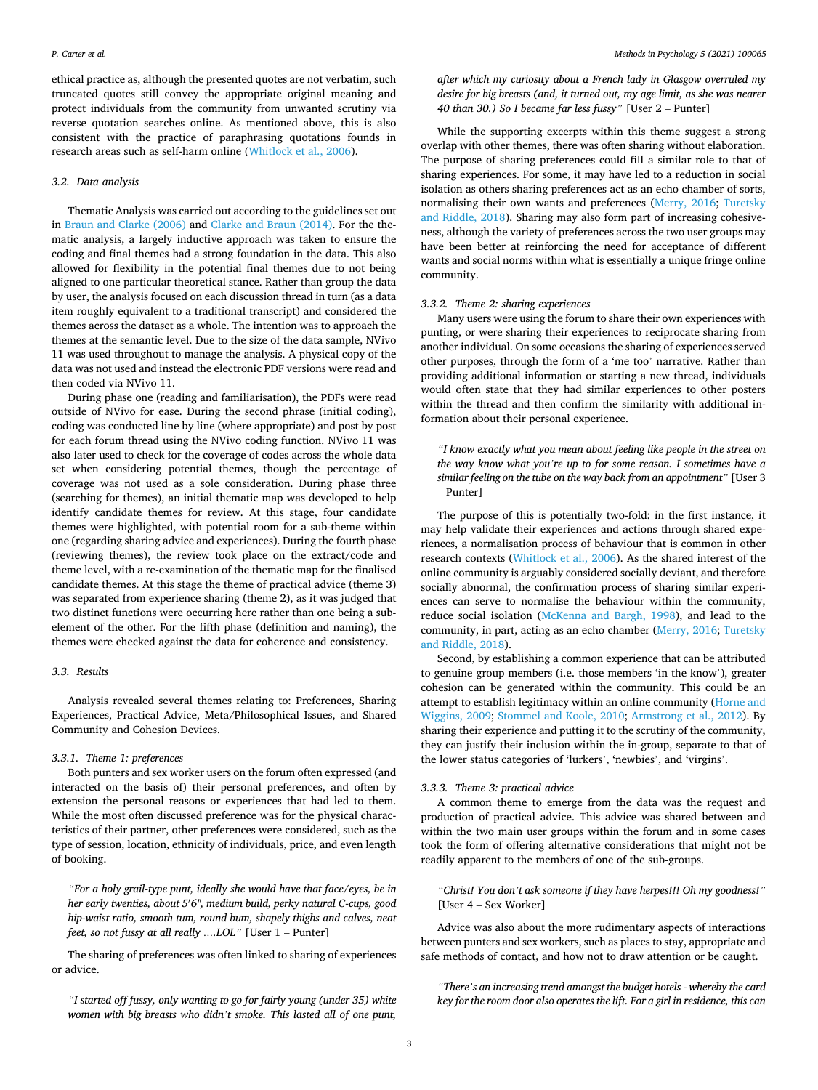ethical practice as, although the presented quotes are not verbatim, such truncated quotes still convey the appropriate original meaning and protect individuals from the community from unwanted scrutiny via reverse quotation searches online. As mentioned above, this is also consistent with the practice of paraphrasing quotations founds in research areas such as self-harm online [\(Whitlock et al., 2006\)](#page-9-0).

## *3.2. Data analysis*

Thematic Analysis was carried out according to the guidelines set out in [Braun and Clarke \(2006\)](#page-8-0) and [Clarke and Braun \(2014\)](#page-8-0). For the thematic analysis, a largely inductive approach was taken to ensure the coding and final themes had a strong foundation in the data. This also allowed for flexibility in the potential final themes due to not being aligned to one particular theoretical stance. Rather than group the data by user, the analysis focused on each discussion thread in turn (as a data item roughly equivalent to a traditional transcript) and considered the themes across the dataset as a whole. The intention was to approach the themes at the semantic level. Due to the size of the data sample, NVivo 11 was used throughout to manage the analysis. A physical copy of the data was not used and instead the electronic PDF versions were read and then coded via NVivo 11.

During phase one (reading and familiarisation), the PDFs were read outside of NVivo for ease. During the second phrase (initial coding), coding was conducted line by line (where appropriate) and post by post for each forum thread using the NVivo coding function. NVivo 11 was also later used to check for the coverage of codes across the whole data set when considering potential themes, though the percentage of coverage was not used as a sole consideration. During phase three (searching for themes), an initial thematic map was developed to help identify candidate themes for review. At this stage, four candidate themes were highlighted, with potential room for a sub-theme within one (regarding sharing advice and experiences). During the fourth phase (reviewing themes), the review took place on the extract/code and theme level, with a re-examination of the thematic map for the finalised candidate themes. At this stage the theme of practical advice (theme 3) was separated from experience sharing (theme 2), as it was judged that two distinct functions were occurring here rather than one being a subelement of the other. For the fifth phase (definition and naming), the themes were checked against the data for coherence and consistency.

# *3.3. Results*

Analysis revealed several themes relating to: Preferences, Sharing Experiences, Practical Advice, Meta/Philosophical Issues, and Shared Community and Cohesion Devices.

### *3.3.1. Theme 1: preferences*

Both punters and sex worker users on the forum often expressed (and interacted on the basis of) their personal preferences, and often by extension the personal reasons or experiences that had led to them. While the most often discussed preference was for the physical characteristics of their partner, other preferences were considered, such as the type of session, location, ethnicity of individuals, price, and even length of booking.

*"For a holy grail-type punt, ideally she would have that face/eyes, be in her early twenties, about 5*′ *6", medium build, perky natural C-cups, good hip-waist ratio, smooth tum, round bum, shapely thighs and calves, neat feet, so not fussy at all really ….LOL"* [User 1 – Punter]

The sharing of preferences was often linked to sharing of experiences or advice.

*"I started off fussy, only wanting to go for fairly young (under 35) white women with big breasts who didn't smoke. This lasted all of one punt,* 

*after which my curiosity about a French lady in Glasgow overruled my desire for big breasts (and, it turned out, my age limit, as she was nearer 40 than 30.) So I became far less fussy"* [User 2 – Punter]

While the supporting excerpts within this theme suggest a strong overlap with other themes, there was often sharing without elaboration. The purpose of sharing preferences could fill a similar role to that of sharing experiences. For some, it may have led to a reduction in social isolation as others sharing preferences act as an echo chamber of sorts, normalising their own wants and preferences ([Merry, 2016;](#page-9-0) [Turetsky](#page-9-0)  [and Riddle, 2018](#page-9-0)). Sharing may also form part of increasing cohesiveness, although the variety of preferences across the two user groups may have been better at reinforcing the need for acceptance of different wants and social norms within what is essentially a unique fringe online community.

## *3.3.2. Theme 2: sharing experiences*

Many users were using the forum to share their own experiences with punting, or were sharing their experiences to reciprocate sharing from another individual. On some occasions the sharing of experiences served other purposes, through the form of a 'me too' narrative. Rather than providing additional information or starting a new thread, individuals would often state that they had similar experiences to other posters within the thread and then confirm the similarity with additional information about their personal experience.

*"I know exactly what you mean about feeling like people in the street on the way know what you're up to for some reason. I sometimes have a similar feeling on the tube on the way back from an appointment"* [User 3 – Punter]

The purpose of this is potentially two-fold: in the first instance, it may help validate their experiences and actions through shared experiences, a normalisation process of behaviour that is common in other research contexts ([Whitlock et al., 2006\)](#page-9-0). As the shared interest of the online community is arguably considered socially deviant, and therefore socially abnormal, the confirmation process of sharing similar experiences can serve to normalise the behaviour within the community, reduce social isolation [\(McKenna and Bargh, 1998\)](#page-9-0), and lead to the community, in part, acting as an echo chamber ([Merry, 2016](#page-9-0); [Turetsky](#page-9-0)  [and Riddle, 2018](#page-9-0)).

Second, by establishing a common experience that can be attributed to genuine group members (i.e. those members 'in the know'), greater cohesion can be generated within the community. This could be an attempt to establish legitimacy within an online community ([Horne and](#page-8-0)  [Wiggins, 2009;](#page-8-0) [Stommel and Koole, 2010;](#page-9-0) [Armstrong et al., 2012\)](#page-8-0). By sharing their experience and putting it to the scrutiny of the community, they can justify their inclusion within the in-group, separate to that of the lower status categories of 'lurkers', 'newbies', and 'virgins'.

## *3.3.3. Theme 3: practical advice*

A common theme to emerge from the data was the request and production of practical advice. This advice was shared between and within the two main user groups within the forum and in some cases took the form of offering alternative considerations that might not be readily apparent to the members of one of the sub-groups.

*"Christ! You don't ask someone if they have herpes!!! Oh my goodness!"*  [User 4 – Sex Worker]

Advice was also about the more rudimentary aspects of interactions between punters and sex workers, such as places to stay, appropriate and safe methods of contact, and how not to draw attention or be caught.

*"There's an increasing trend amongst the budget hotels - whereby the card key for the room door also operates the lift. For a girl in residence, this can*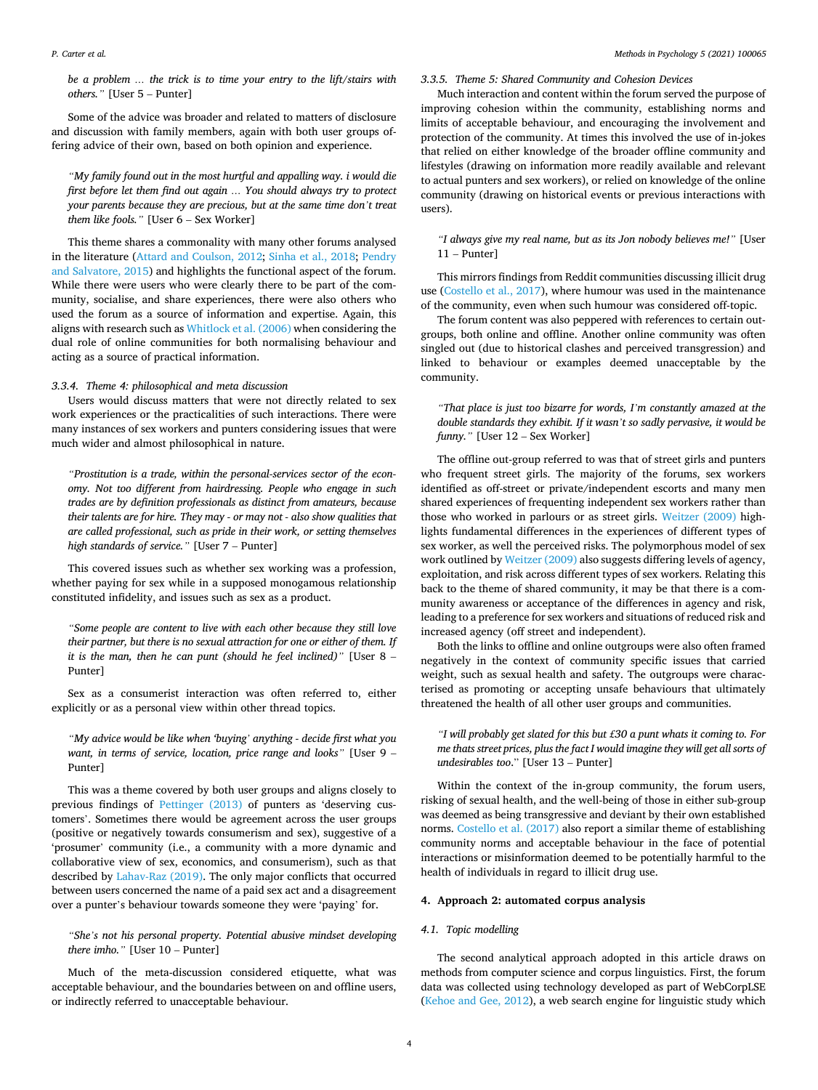*be a problem … the trick is to time your entry to the lift/stairs with others."* [User 5 – Punter]

Some of the advice was broader and related to matters of disclosure and discussion with family members, again with both user groups offering advice of their own, based on both opinion and experience.

*"My family found out in the most hurtful and appalling way. i would die first before let them find out again … You should always try to protect your parents because they are precious, but at the same time don't treat them like fools."* [User 6 – Sex Worker]

This theme shares a commonality with many other forums analysed in the literature [\(Attard and Coulson, 2012](#page-8-0); [Sinha et al., 2018;](#page-9-0) [Pendry](#page-9-0)  [and Salvatore, 2015](#page-9-0)) and highlights the functional aspect of the forum. While there were users who were clearly there to be part of the community, socialise, and share experiences, there were also others who used the forum as a source of information and expertise. Again, this aligns with research such as [Whitlock et al. \(2006\)](#page-9-0) when considering the dual role of online communities for both normalising behaviour and acting as a source of practical information.

## *3.3.4. Theme 4: philosophical and meta discussion*

Users would discuss matters that were not directly related to sex work experiences or the practicalities of such interactions. There were many instances of sex workers and punters considering issues that were much wider and almost philosophical in nature.

*"Prostitution is a trade, within the personal-services sector of the economy. Not too different from hairdressing. People who engage in such trades are by definition professionals as distinct from amateurs, because their talents are for hire. They may - or may not - also show qualities that are called professional, such as pride in their work, or setting themselves high standards of service."* [User 7 – Punter]

This covered issues such as whether sex working was a profession, whether paying for sex while in a supposed monogamous relationship constituted infidelity, and issues such as sex as a product.

*"Some people are content to live with each other because they still love their partner, but there is no sexual attraction for one or either of them. If it is the man, then he can punt (should he feel inclined)"* [User 8 – Punter]

Sex as a consumerist interaction was often referred to, either explicitly or as a personal view within other thread topics.

*"My advice would be like when 'buying' anything - decide first what you want, in terms of service, location, price range and looks"* [User 9 – Punter]

This was a theme covered by both user groups and aligns closely to previous findings of [Pettinger \(2013\)](#page-9-0) of punters as 'deserving customers'. Sometimes there would be agreement across the user groups (positive or negatively towards consumerism and sex), suggestive of a 'prosumer' community (i.e., a community with a more dynamic and collaborative view of sex, economics, and consumerism), such as that described by [Lahav-Raz \(2019\).](#page-9-0) The only major conflicts that occurred between users concerned the name of a paid sex act and a disagreement over a punter's behaviour towards someone they were 'paying' for.

*"She's not his personal property. Potential abusive mindset developing there imho."* [User 10 – Punter]

Much of the meta-discussion considered etiquette, what was acceptable behaviour, and the boundaries between on and offline users, or indirectly referred to unacceptable behaviour.

# *3.3.5. Theme 5: Shared Community and Cohesion Devices*

Much interaction and content within the forum served the purpose of improving cohesion within the community, establishing norms and limits of acceptable behaviour, and encouraging the involvement and protection of the community. At times this involved the use of in-jokes that relied on either knowledge of the broader offline community and lifestyles (drawing on information more readily available and relevant to actual punters and sex workers), or relied on knowledge of the online community (drawing on historical events or previous interactions with users).

*"I always give my real name, but as its Jon nobody believes me!"* [User 11 – Punter]

This mirrors findings from Reddit communities discussing illicit drug use [\(Costello et al., 2017\)](#page-8-0), where humour was used in the maintenance of the community, even when such humour was considered off-topic.

The forum content was also peppered with references to certain outgroups, both online and offline. Another online community was often singled out (due to historical clashes and perceived transgression) and linked to behaviour or examples deemed unacceptable by the community.

*"That place is just too bizarre for words, I'm constantly amazed at the double standards they exhibit. If it wasn't so sadly pervasive, it would be funny.*<sup>"</sup> [User 12 – Sex Worker]

The offline out-group referred to was that of street girls and punters who frequent street girls. The majority of the forums, sex workers identified as off-street or private/independent escorts and many men shared experiences of frequenting independent sex workers rather than those who worked in parlours or as street girls. [Weitzer \(2009\)](#page-9-0) highlights fundamental differences in the experiences of different types of sex worker, as well the perceived risks. The polymorphous model of sex work outlined by [Weitzer \(2009\)](#page-9-0) also suggests differing levels of agency, exploitation, and risk across different types of sex workers. Relating this back to the theme of shared community, it may be that there is a community awareness or acceptance of the differences in agency and risk, leading to a preference for sex workers and situations of reduced risk and increased agency (off street and independent).

Both the links to offline and online outgroups were also often framed negatively in the context of community specific issues that carried weight, such as sexual health and safety. The outgroups were characterised as promoting or accepting unsafe behaviours that ultimately threatened the health of all other user groups and communities.

# *"I will probably get slated for this but £30 a punt whats it coming to. For me thats street prices, plus the fact I would imagine they will get all sorts of undesirables too*." [User 13 – Punter]

Within the context of the in-group community, the forum users, risking of sexual health, and the well-being of those in either sub-group was deemed as being transgressive and deviant by their own established norms. [Costello et al. \(2017\)](#page-8-0) also report a similar theme of establishing community norms and acceptable behaviour in the face of potential interactions or misinformation deemed to be potentially harmful to the health of individuals in regard to illicit drug use.

## **4. Approach 2: automated corpus analysis**

# *4.1. Topic modelling*

The second analytical approach adopted in this article draws on methods from computer science and corpus linguistics. First, the forum data was collected using technology developed as part of WebCorpLSE ([Kehoe and Gee, 2012](#page-8-0)), a web search engine for linguistic study which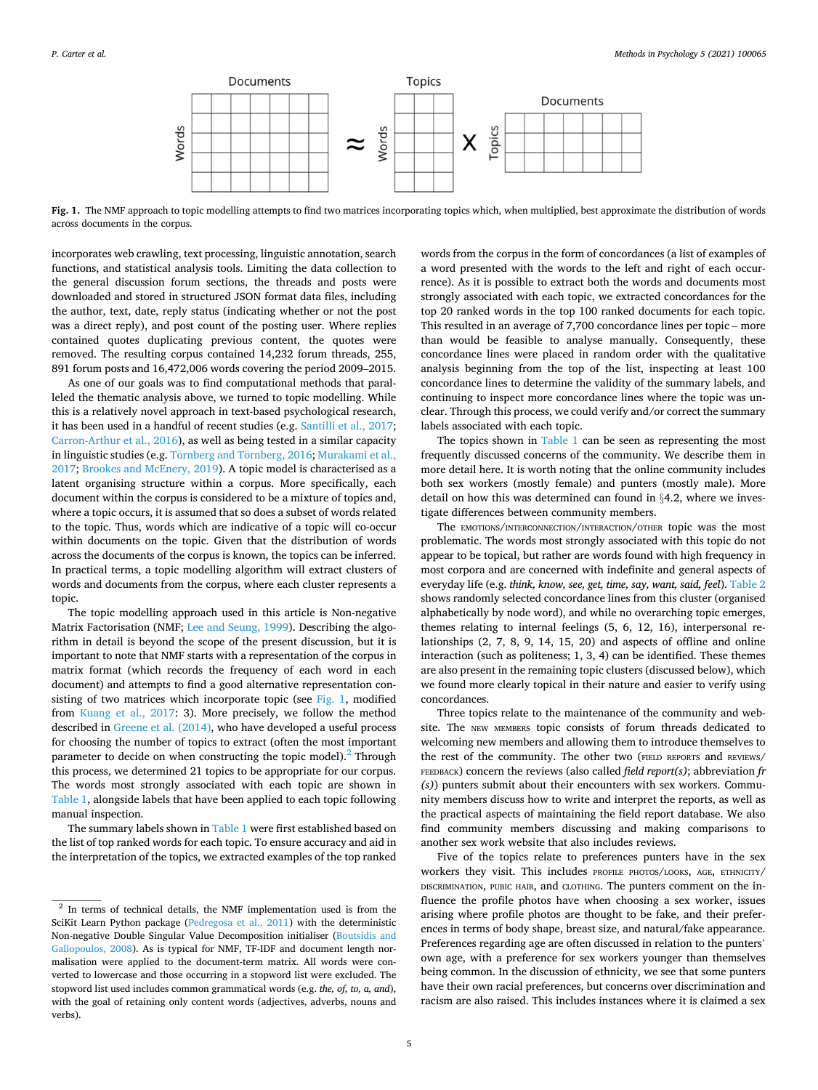

**Fig. 1.** The NMF approach to topic modelling attempts to find two matrices incorporating topics which, when multiplied, best approximate the distribution of words across documents in the corpus.

incorporates web crawling, text processing, linguistic annotation, search functions, and statistical analysis tools. Limiting the data collection to the general discussion forum sections, the threads and posts were downloaded and stored in structured JSON format data files, including the author, text, date, reply status (indicating whether or not the post was a direct reply), and post count of the posting user. Where replies contained quotes duplicating previous content, the quotes were removed. The resulting corpus contained 14,232 forum threads, 255, 891 forum posts and 16,472,006 words covering the period 2009–2015.

As one of our goals was to find computational methods that paralleled the thematic analysis above, we turned to topic modelling. While this is a relatively novel approach in text-based psychological research, it has been used in a handful of recent studies (e.g. [Santilli et al., 2017](#page-9-0); [Carron-Arthur et al., 2016\)](#page-8-0), as well as being tested in a similar capacity in linguistic studies (e.g. Törnberg and Törnberg, 2016; Murakami et al., [2017;](#page-9-0) [Brookes and McEnery, 2019](#page-8-0)). A topic model is characterised as a latent organising structure within a corpus. More specifically, each document within the corpus is considered to be a mixture of topics and, where a topic occurs, it is assumed that so does a subset of words related to the topic. Thus, words which are indicative of a topic will co-occur within documents on the topic. Given that the distribution of words across the documents of the corpus is known, the topics can be inferred. In practical terms, a topic modelling algorithm will extract clusters of words and documents from the corpus, where each cluster represents a topic.

The topic modelling approach used in this article is Non-negative Matrix Factorisation (NMF; [Lee and Seung, 1999](#page-9-0)). Describing the algorithm in detail is beyond the scope of the present discussion, but it is important to note that NMF starts with a representation of the corpus in matrix format (which records the frequency of each word in each document) and attempts to find a good alternative representation consisting of two matrices which incorporate topic (see  $Fig. 1$ , modified from [Kuang et al., 2017:](#page-9-0) 3). More precisely, we follow the method described in [Greene et al. \(2014\),](#page-8-0) who have developed a useful process for choosing the number of topics to extract (often the most important parameter to decide on when constructing the topic model). $^2$  Through this process, we determined 21 topics to be appropriate for our corpus. The words most strongly associated with each topic are shown in [Table 1,](#page-6-0) alongside labels that have been applied to each topic following manual inspection.

The summary labels shown in [Table 1](#page-6-0) were first established based on the list of top ranked words for each topic. To ensure accuracy and aid in the interpretation of the topics, we extracted examples of the top ranked

words from the corpus in the form of concordances (a list of examples of a word presented with the words to the left and right of each occurrence). As it is possible to extract both the words and documents most strongly associated with each topic, we extracted concordances for the top 20 ranked words in the top 100 ranked documents for each topic. This resulted in an average of 7,700 concordance lines per topic – more than would be feasible to analyse manually. Consequently, these concordance lines were placed in random order with the qualitative analysis beginning from the top of the list, inspecting at least 100 concordance lines to determine the validity of the summary labels, and continuing to inspect more concordance lines where the topic was unclear. Through this process, we could verify and/or correct the summary labels associated with each topic.

The topics shown in [Table 1](#page-6-0) can be seen as representing the most frequently discussed concerns of the community. We describe them in more detail here. It is worth noting that the online community includes both sex workers (mostly female) and punters (mostly male). More detail on how this was determined can found in §4.2, where we investigate differences between community members.

The EMOTIONS/INTERCONNECTION/INTERACTION/OTHER topic was the most problematic. The words most strongly associated with this topic do not appear to be topical, but rather are words found with high frequency in most corpora and are concerned with indefinite and general aspects of everyday life (e.g. *think, know, see, get, time, say, want, said, feel*). [Table 2](#page-6-0)  shows randomly selected concordance lines from this cluster (organised alphabetically by node word), and while no overarching topic emerges, themes relating to internal feelings (5, 6, 12, 16), interpersonal relationships (2, 7, 8, 9, 14, 15, 20) and aspects of offline and online interaction (such as politeness; 1, 3, 4) can be identified. These themes are also present in the remaining topic clusters (discussed below), which we found more clearly topical in their nature and easier to verify using concordances.

Three topics relate to the maintenance of the community and website. The NEW MEMBERS topic consists of forum threads dedicated to welcoming new members and allowing them to introduce themselves to the rest of the community. The other two (FIELD REPORTS and REVIEWS/ FEEDBACK) concern the reviews (also called *field report(s)*; abbreviation *fr (s)*) punters submit about their encounters with sex workers. Community members discuss how to write and interpret the reports, as well as the practical aspects of maintaining the field report database. We also find community members discussing and making comparisons to another sex work website that also includes reviews.

Five of the topics relate to preferences punters have in the sex workers they visit. This includes PROFILE PHOTOS/LOOKS, AGE, ETHNICITY/ DISCRIMINATION, PUBIC HAIR, and CLOTHING. The punters comment on the influence the profile photos have when choosing a sex worker, issues arising where profile photos are thought to be fake, and their preferences in terms of body shape, breast size, and natural/fake appearance. Preferences regarding age are often discussed in relation to the punters' own age, with a preference for sex workers younger than themselves being common. In the discussion of ethnicity, we see that some punters have their own racial preferences, but concerns over discrimination and racism are also raised. This includes instances where it is claimed a sex

<sup>&</sup>lt;sup>2</sup> In terms of technical details, the NMF implementation used is from the SciKit Learn Python package [\(Pedregosa et al., 2011\)](#page-9-0) with the deterministic Non-negative Double Singular Value Decomposition initialiser [\(Boutsidis and](#page-8-0)  [Gallopoulos, 2008](#page-8-0)). As is typical for NMF, TF-IDF and document length normalisation were applied to the document-term matrix. All words were converted to lowercase and those occurring in a stopword list were excluded. The stopword list used includes common grammatical words (e.g. *the, of, to, a, and*), with the goal of retaining only content words (adjectives, adverbs, nouns and verbs).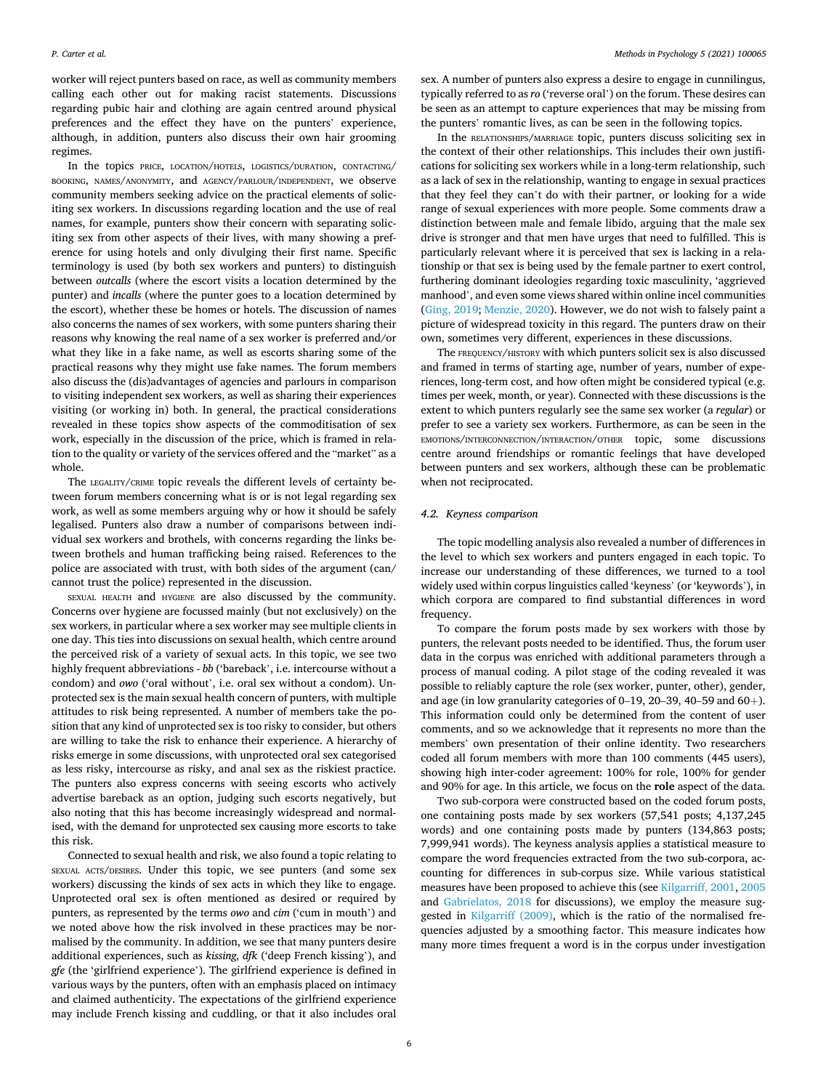worker will reject punters based on race, as well as community members calling each other out for making racist statements. Discussions regarding pubic hair and clothing are again centred around physical preferences and the effect they have on the punters' experience, although, in addition, punters also discuss their own hair grooming regimes.

In the topics PRICE, LOCATION/HOTELS, LOGISTICS/DURATION, CONTACTING/ BOOKING, NAMES/ANONYMITY, and AGENCY/PARLOUR/INDEPENDENT, we observe community members seeking advice on the practical elements of soliciting sex workers. In discussions regarding location and the use of real names, for example, punters show their concern with separating soliciting sex from other aspects of their lives, with many showing a preference for using hotels and only divulging their first name. Specific terminology is used (by both sex workers and punters) to distinguish between *outcalls* (where the escort visits a location determined by the punter) and *incalls* (where the punter goes to a location determined by the escort), whether these be homes or hotels. The discussion of names also concerns the names of sex workers, with some punters sharing their reasons why knowing the real name of a sex worker is preferred and/or what they like in a fake name, as well as escorts sharing some of the practical reasons why they might use fake names. The forum members also discuss the (dis)advantages of agencies and parlours in comparison to visiting independent sex workers, as well as sharing their experiences visiting (or working in) both. In general, the practical considerations revealed in these topics show aspects of the commoditisation of sex work, especially in the discussion of the price, which is framed in relation to the quality or variety of the services offered and the "market" as a whole.

The LEGALITY/CRIME topic reveals the different levels of certainty between forum members concerning what is or is not legal regarding sex work, as well as some members arguing why or how it should be safely legalised. Punters also draw a number of comparisons between individual sex workers and brothels, with concerns regarding the links between brothels and human trafficking being raised. References to the police are associated with trust, with both sides of the argument (can/ cannot trust the police) represented in the discussion.

SEXUAL HEALTH and HYGIENE are also discussed by the community. Concerns over hygiene are focussed mainly (but not exclusively) on the sex workers, in particular where a sex worker may see multiple clients in one day. This ties into discussions on sexual health, which centre around the perceived risk of a variety of sexual acts. In this topic, we see two highly frequent abbreviations - *bb* ('bareback', i.e. intercourse without a condom) and *owo* ('oral without', i.e. oral sex without a condom). Unprotected sex is the main sexual health concern of punters, with multiple attitudes to risk being represented. A number of members take the position that any kind of unprotected sex is too risky to consider, but others are willing to take the risk to enhance their experience. A hierarchy of risks emerge in some discussions, with unprotected oral sex categorised as less risky, intercourse as risky, and anal sex as the riskiest practice. The punters also express concerns with seeing escorts who actively advertise bareback as an option, judging such escorts negatively, but also noting that this has become increasingly widespread and normalised, with the demand for unprotected sex causing more escorts to take this risk.

Connected to sexual health and risk, we also found a topic relating to SEXUAL ACTS/DESIRES. Under this topic, we see punters (and some sex workers) discussing the kinds of sex acts in which they like to engage. Unprotected oral sex is often mentioned as desired or required by punters, as represented by the terms *owo* and *cim* ('cum in mouth') and we noted above how the risk involved in these practices may be normalised by the community. In addition, we see that many punters desire additional experiences, such as *kissing*, *dfk* ('deep French kissing'), and *gfe* (the 'girlfriend experience'). The girlfriend experience is defined in various ways by the punters, often with an emphasis placed on intimacy and claimed authenticity. The expectations of the girlfriend experience may include French kissing and cuddling, or that it also includes oral

sex. A number of punters also express a desire to engage in cunnilingus, typically referred to as *ro* ('reverse oral') on the forum. These desires can be seen as an attempt to capture experiences that may be missing from the punters' romantic lives, as can be seen in the following topics.

In the RELATIONSHIPS/MARRIAGE topic, punters discuss soliciting sex in the context of their other relationships. This includes their own justifications for soliciting sex workers while in a long-term relationship, such as a lack of sex in the relationship, wanting to engage in sexual practices that they feel they can't do with their partner, or looking for a wide range of sexual experiences with more people. Some comments draw a distinction between male and female libido, arguing that the male sex drive is stronger and that men have urges that need to fulfilled. This is particularly relevant where it is perceived that sex is lacking in a relationship or that sex is being used by the female partner to exert control, furthering dominant ideologies regarding toxic masculinity, 'aggrieved manhood', and even some views shared within online incel communities ([Ging, 2019;](#page-8-0) [Menzie, 2020\)](#page-9-0). However, we do not wish to falsely paint a picture of widespread toxicity in this regard. The punters draw on their own, sometimes very different, experiences in these discussions.

The FREQUENCY/HISTORY with which punters solicit sex is also discussed and framed in terms of starting age, number of years, number of experiences, long-term cost, and how often might be considered typical (e.g. times per week, month, or year). Connected with these discussions is the extent to which punters regularly see the same sex worker (a *regular*) or prefer to see a variety sex workers. Furthermore, as can be seen in the EMOTIONS/INTERCONNECTION/INTERACTION/OTHER topic, some discussions centre around friendships or romantic feelings that have developed between punters and sex workers, although these can be problematic when not reciprocated.

## *4.2. Keyness comparison*

The topic modelling analysis also revealed a number of differences in the level to which sex workers and punters engaged in each topic. To increase our understanding of these differences, we turned to a tool widely used within corpus linguistics called 'keyness' (or 'keywords'), in which corpora are compared to find substantial differences in word frequency.

To compare the forum posts made by sex workers with those by punters, the relevant posts needed to be identified. Thus, the forum user data in the corpus was enriched with additional parameters through a process of manual coding. A pilot stage of the coding revealed it was possible to reliably capture the role (sex worker, punter, other), gender, and age (in low granularity categories of 0–19, 20–39, 40–59 and 60+). This information could only be determined from the content of user comments, and so we acknowledge that it represents no more than the members' own presentation of their online identity. Two researchers coded all forum members with more than 100 comments (445 users), showing high inter-coder agreement: 100% for role, 100% for gender and 90% for age. In this article, we focus on the **role** aspect of the data.

Two sub-corpora were constructed based on the coded forum posts, one containing posts made by sex workers (57,541 posts; 4,137,245 words) and one containing posts made by punters (134,863 posts; 7,999,941 words). The keyness analysis applies a statistical measure to compare the word frequencies extracted from the two sub-corpora, accounting for differences in sub-corpus size. While various statistical measures have been proposed to achieve this (see [Kilgarriff, 2001, 2005](#page-8-0)  and [Gabrielatos, 2018](#page-8-0) for discussions), we employ the measure suggested in [Kilgarriff \(2009\),](#page-9-0) which is the ratio of the normalised frequencies adjusted by a smoothing factor. This measure indicates how many more times frequent a word is in the corpus under investigation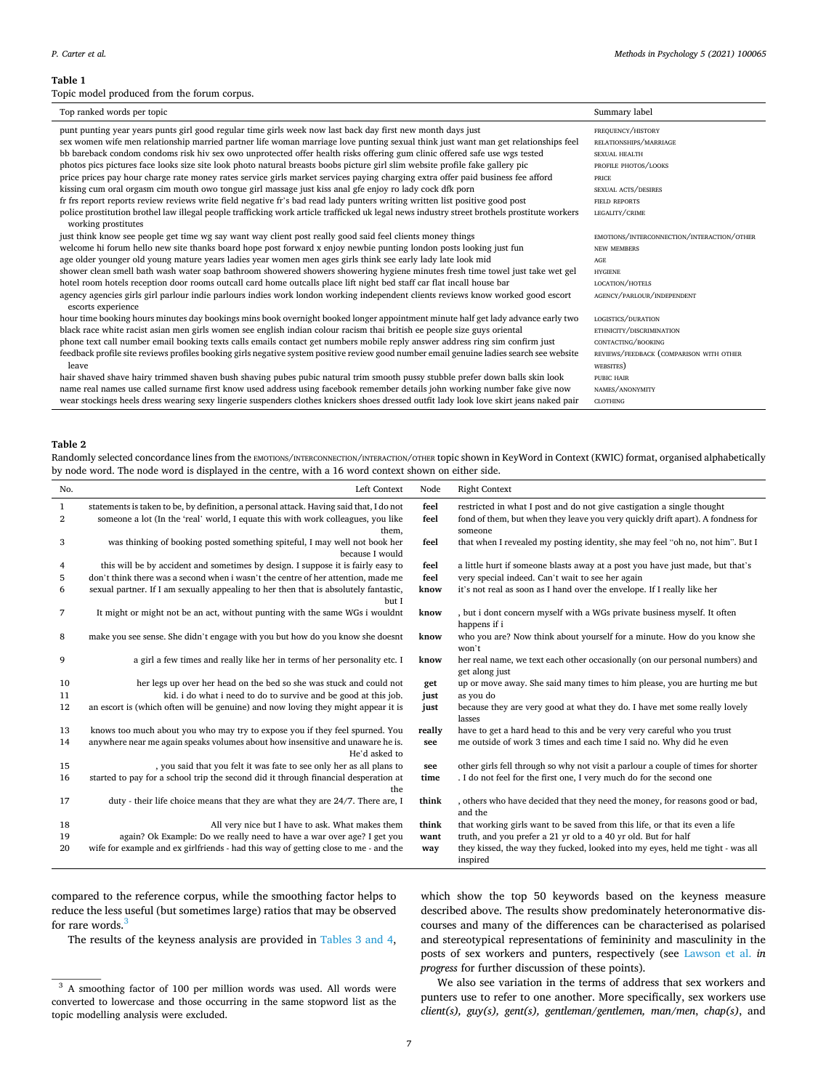## <span id="page-6-0"></span>**Table 1**

Topic model produced from the forum corpus.

| Top ranked words per topic                                                                                                                             | Summary label                              |
|--------------------------------------------------------------------------------------------------------------------------------------------------------|--------------------------------------------|
| punt punting year years punts girl good regular time girls week now last back day first new month days just                                            | FREQUENCY/HISTORY                          |
| sex women wife men relationship married partner life woman marriage love punting sexual think just want man get relationships feel                     | RELATIONSHIPS/MARRIAGE                     |
| bb bareback condom condoms risk hiv sex owo unprotected offer health risks offering gum clinic offered safe use wgs tested                             | <b>SEXUAL HEALTH</b>                       |
| photos pics pictures face looks size site look photo natural breasts boobs picture girl slim website profile fake gallery pic                          | PROFILE PHOTOS/LOOKS                       |
| price prices pay hour charge rate money rates service girls market services paying charging extra offer paid business fee afford                       | PRICE                                      |
| kissing cum oral orgasm cim mouth owo tongue girl massage just kiss anal gfe enjoy ro lady cock dfk porn                                               | SEXUAL ACTS/DESIRES                        |
| fr frs report reports review reviews write field negative fr's bad read lady punters writing written list positive good post                           | <b>FIELD REPORTS</b>                       |
| police prostitution brothel law illegal people trafficking work article trafficked uk legal news industry street brothels prostitute workers           | LEGALITY/CRIME                             |
| working prostitutes                                                                                                                                    |                                            |
| just think know see people get time wg say want way client post really good said feel clients money things                                             | EMOTIONS/INTERCONNECTION/INTERACTION/OTHER |
| welcome hi forum hello new site thanks board hope post forward x enjoy newbie punting london posts looking just fun                                    | NEW MEMBERS                                |
| age older younger old young mature years ladies year women men ages girls think see early lady late look mid                                           | AGE                                        |
| shower clean smell bath wash water soap bathroom showered showers showering hygiene minutes fresh time towel just take wet gel                         | <b>HYGIENE</b>                             |
| hotel room hotels reception door rooms outcall card home outcalls place lift night bed staff car flat incall house bar                                 | LOCATION/HOTELS                            |
| agency agencies girls girl parlour indie parlours indies work london working independent clients reviews know worked good escort<br>escorts experience | AGENCY/PARLOUR/INDEPENDENT                 |
| hour time booking hours minutes day bookings mins book overnight booked longer appointment minute half get lady advance early two                      | LOGISTICS/DURATION                         |
| black race white racist asian men girls women see english indian colour racism thai british ee people size guys oriental                               | ETHNICITY/DISCRIMINATION                   |
| phone text call number email booking texts calls emails contact get numbers mobile reply answer address ring sim confirm just                          | CONTACTING/BOOKING                         |
| feedback profile site reviews profiles booking girls negative system positive review good number email genuine ladies search see website               | REVIEWS/FEEDBACK (COMPARISON WITH OTHER    |
| leave                                                                                                                                                  | WEBSITES)                                  |
| hair shaved shave hairy trimmed shaven bush shaving pubes pubic natural trim smooth pussy stubble prefer down balls skin look                          | PUBIC HAIR                                 |
| name real names use called surname first know used address using facebook remember details john working number fake give now                           | NAMES/ANONYMITY                            |
| wear stockings heels dress wearing sexy lingerie suspenders clothes knickers shoes dressed outfit lady look love skirt jeans naked pair                | <b>CLOTHING</b>                            |

# **Table 2**

Randomly selected concordance lines from the EMOTIONS/INTERCONNECTION/OTHER topic shown in KeyWord in Context (KWIC) format, organised alphabetically by node word. The node word is displayed in the centre, with a 16 word context shown on either side.

| No. | Left Context                                                                                    | Node   | <b>Right Context</b>                                                                           |
|-----|-------------------------------------------------------------------------------------------------|--------|------------------------------------------------------------------------------------------------|
| 1   | statements is taken to be, by definition, a personal attack. Having said that, I do not         | feel   | restricted in what I post and do not give castigation a single thought                         |
| 2   | someone a lot (In the 'real' world, I equate this with work colleagues, you like<br>them.       | feel   | fond of them, but when they leave you very quickly drift apart). A fondness for<br>someone     |
| 3   | was thinking of booking posted something spiteful, I may well not book her<br>because I would   | feel   | that when I revealed my posting identity, she may feel "oh no, not him". But I                 |
| 4   | this will be by accident and sometimes by design. I suppose it is fairly easy to                | feel   | a little hurt if someone blasts away at a post you have just made, but that's                  |
| 5   | don't think there was a second when i wasn't the centre of her attention, made me               | feel   | very special indeed. Can't wait to see her again                                               |
| 6   | sexual partner. If I am sexually appealing to her then that is absolutely fantastic,<br>but I   | know   | it's not real as soon as I hand over the envelope. If I really like her                        |
| 7   | It might or might not be an act, without punting with the same WGs i wouldnt                    | know   | , but i dont concern myself with a WGs private business myself. It often<br>happens if i       |
| 8   | make you see sense. She didn't engage with you but how do you know she doesnt                   | know   | who you are? Now think about yourself for a minute. How do you know she<br>won't               |
| 9   | a girl a few times and really like her in terms of her personality etc. I                       | know   | her real name, we text each other occasionally (on our personal numbers) and<br>get along just |
| 10  | her legs up over her head on the bed so she was stuck and could not                             | get    | up or move away. She said many times to him please, you are hurting me but                     |
| 11  | kid. i do what i need to do to survive and be good at this job.                                 | just   | as you do                                                                                      |
| 12  | an escort is (which often will be genuine) and now loving they might appear it is               | just   | because they are very good at what they do. I have met some really lovely<br>lasses            |
| 13  | knows too much about you who may try to expose you if they feel spurned. You                    | really | have to get a hard head to this and be very very careful who you trust                         |
| 14  | anywhere near me again speaks volumes about how insensitive and unaware he is.<br>He'd asked to | see    | me outside of work 3 times and each time I said no. Why did he even                            |
| 15  | , you said that you felt it was fate to see only her as all plans to                            | see    | other girls fell through so why not visit a parlour a couple of times for shorter              |
| 16  | started to pay for a school trip the second did it through financial desperation at<br>the      | time   | . I do not feel for the first one, I very much do for the second one                           |
| 17  | duty - their life choice means that they are what they are 24/7. There are, I                   | think  | , others who have decided that they need the money, for reasons good or bad,<br>and the        |
| 18  | All very nice but I have to ask. What makes them                                                | think  | that working girls want to be saved from this life, or that its even a life                    |
| 19  | again? Ok Example: Do we really need to have a war over age? I get you                          | want   | truth, and you prefer a 21 yr old to a 40 yr old. But for half                                 |
| 20  | wife for example and ex girlfriends - had this way of getting close to me - and the             | way    | they kissed, the way they fucked, looked into my eyes, held me tight - was all<br>inspired     |

compared to the reference corpus, while the smoothing factor helps to reduce the less useful (but sometimes large) ratios that may be observed for rare words.<sup>3</sup>

The results of the keyness analysis are provided in [Tables 3 and 4](#page-7-0),

which show the top 50 keywords based on the keyness measure described above. The results show predominately heteronormative discourses and many of the differences can be characterised as polarised and stereotypical representations of femininity and masculinity in the posts of sex workers and punters, respectively (see [Lawson et al.](#page-9-0) *in progress* for further discussion of these points).

We also see variation in the terms of address that sex workers and punters use to refer to one another. More specifically, sex workers use *client(s), guy(s), gent(s), gentleman/gentlemen, man/men*, *chap(s)*, and

 $\frac{3}{3}$  A smoothing factor of 100 per million words was used. All words were converted to lowercase and those occurring in the same stopword list as the topic modelling analysis were excluded.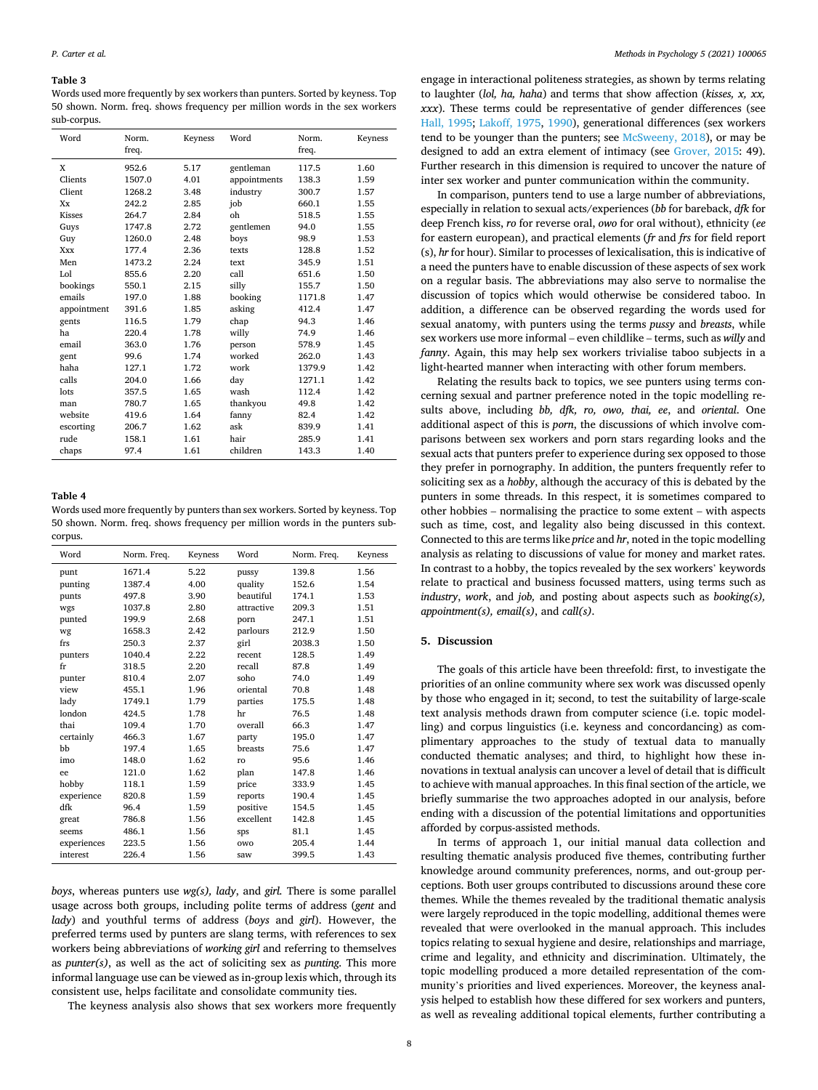## <span id="page-7-0"></span>**Table 3**

Words used more frequently by sex workers than punters. Sorted by keyness. Top 50 shown. Norm. freq. shows frequency per million words in the sex workers sub-corpus.

| Word        | Norm.<br>freq. | Keyness | Word         | Norm.<br>freq. | Keyness |
|-------------|----------------|---------|--------------|----------------|---------|
| X           | 952.6          | 5.17    | gentleman    | 117.5          | 1.60    |
| Clients     | 1507.0         | 4.01    | appointments | 138.3          | 1.59    |
| Client      | 1268.2         | 3.48    | industry     | 300.7          | 1.57    |
| Xx          | 242.2          | 2.85    | job          | 660.1          | 1.55    |
| Kisses      | 264.7          | 2.84    | oh           | 518.5          | 1.55    |
| Guys        | 1747.8         | 2.72    | gentlemen    | 94.0           | 1.55    |
| Guy         | 1260.0         | 2.48    | boys         | 98.9           | 1.53    |
| <b>Xxx</b>  | 177.4          | 2.36    | texts        | 128.8          | 1.52    |
| Men         | 1473.2         | 2.24    | text         | 345.9          | 1.51    |
| Lol         | 855.6          | 2.20    | call         | 651.6          | 1.50    |
| bookings    | 550.1          | 2.15    | silly        | 155.7          | 1.50    |
| emails      | 197.0          | 1.88    | booking      | 1171.8         | 1.47    |
| appointment | 391.6          | 1.85    | asking       | 412.4          | 1.47    |
| gents       | 116.5          | 1.79    | chap         | 94.3           | 1.46    |
| ha          | 220.4          | 1.78    | willy        | 74.9           | 1.46    |
| email       | 363.0          | 1.76    | person       | 578.9          | 1.45    |
| gent        | 99.6           | 1.74    | worked       | 262.0          | 1.43    |
| haha        | 127.1          | 1.72    | work         | 1379.9         | 1.42    |
| calls       | 204.0          | 1.66    | day          | 1271.1         | 1.42    |
| lots        | 357.5          | 1.65    | wash         | 112.4          | 1.42    |
| man         | 780.7          | 1.65    | thankyou     | 49.8           | 1.42    |
| website     | 419.6          | 1.64    | fanny        | 82.4           | 1.42    |
| escorting   | 206.7          | 1.62    | ask          | 839.9          | 1.41    |
| rude        | 158.1          | 1.61    | hair         | 285.9          | 1.41    |
| chaps       | 97.4           | 1.61    | children     | 143.3          | 1.40    |

## **Table 4**

Words used more frequently by punters than sex workers. Sorted by keyness. Top 50 shown. Norm. freq. shows frequency per million words in the punters subcorpus.

| 5.22<br>1.56<br>1671.4<br>139.8<br>punt<br>pussy<br>4.00<br>1.54<br>1387.4<br>quality<br>152.6<br>punting<br>beautiful<br>497.8<br>3.90<br>174.1<br>1.53<br>punts<br>1037.8<br>2.80<br>209.3<br>1.51<br>attractive<br>wgs<br>199.9<br>2.68<br>247.1<br>1.51<br>punted<br>porn<br>2.42<br>parlours<br>212.9<br>1.50<br>1658.3<br>wg<br>250.3<br>2.37<br>girl<br>2038.3<br>1.50<br>frs<br>1040.4<br>2.22<br>128.5<br>1.49<br>punters<br>recent<br>2.20<br>318.5<br>recall<br>87.8<br>1.49<br>fr<br>810.4<br>2.07<br>soho<br>74.0<br>1.49<br>punter<br>455.1<br>oriental<br>70.8<br>view<br>1.96<br>1.48<br>lady<br>1.79<br>175.5<br>1.48<br>1749.1<br>parties<br>london<br>76.5<br>1.48<br>424.5<br>1.78<br>hr<br>thai<br>109.4<br>1.70<br>overall<br>66.3<br>1.47<br>466.3<br>1.67<br>195.0<br>1.47<br>certainly<br>party<br>bb<br>197.4<br>1.65<br>75.6<br>1.47<br>breasts<br>148.0<br>1.62<br>95.6<br>1.46<br>imo<br>ro<br>1.62<br>121.0<br>plan<br>147.8<br>1.46<br>ee |
|--------------------------------------------------------------------------------------------------------------------------------------------------------------------------------------------------------------------------------------------------------------------------------------------------------------------------------------------------------------------------------------------------------------------------------------------------------------------------------------------------------------------------------------------------------------------------------------------------------------------------------------------------------------------------------------------------------------------------------------------------------------------------------------------------------------------------------------------------------------------------------------------------------------------------------------------------------------------------|
|                                                                                                                                                                                                                                                                                                                                                                                                                                                                                                                                                                                                                                                                                                                                                                                                                                                                                                                                                                          |
|                                                                                                                                                                                                                                                                                                                                                                                                                                                                                                                                                                                                                                                                                                                                                                                                                                                                                                                                                                          |
|                                                                                                                                                                                                                                                                                                                                                                                                                                                                                                                                                                                                                                                                                                                                                                                                                                                                                                                                                                          |
|                                                                                                                                                                                                                                                                                                                                                                                                                                                                                                                                                                                                                                                                                                                                                                                                                                                                                                                                                                          |
|                                                                                                                                                                                                                                                                                                                                                                                                                                                                                                                                                                                                                                                                                                                                                                                                                                                                                                                                                                          |
|                                                                                                                                                                                                                                                                                                                                                                                                                                                                                                                                                                                                                                                                                                                                                                                                                                                                                                                                                                          |
|                                                                                                                                                                                                                                                                                                                                                                                                                                                                                                                                                                                                                                                                                                                                                                                                                                                                                                                                                                          |
|                                                                                                                                                                                                                                                                                                                                                                                                                                                                                                                                                                                                                                                                                                                                                                                                                                                                                                                                                                          |
|                                                                                                                                                                                                                                                                                                                                                                                                                                                                                                                                                                                                                                                                                                                                                                                                                                                                                                                                                                          |
|                                                                                                                                                                                                                                                                                                                                                                                                                                                                                                                                                                                                                                                                                                                                                                                                                                                                                                                                                                          |
|                                                                                                                                                                                                                                                                                                                                                                                                                                                                                                                                                                                                                                                                                                                                                                                                                                                                                                                                                                          |
|                                                                                                                                                                                                                                                                                                                                                                                                                                                                                                                                                                                                                                                                                                                                                                                                                                                                                                                                                                          |
|                                                                                                                                                                                                                                                                                                                                                                                                                                                                                                                                                                                                                                                                                                                                                                                                                                                                                                                                                                          |
|                                                                                                                                                                                                                                                                                                                                                                                                                                                                                                                                                                                                                                                                                                                                                                                                                                                                                                                                                                          |
|                                                                                                                                                                                                                                                                                                                                                                                                                                                                                                                                                                                                                                                                                                                                                                                                                                                                                                                                                                          |
|                                                                                                                                                                                                                                                                                                                                                                                                                                                                                                                                                                                                                                                                                                                                                                                                                                                                                                                                                                          |
|                                                                                                                                                                                                                                                                                                                                                                                                                                                                                                                                                                                                                                                                                                                                                                                                                                                                                                                                                                          |
|                                                                                                                                                                                                                                                                                                                                                                                                                                                                                                                                                                                                                                                                                                                                                                                                                                                                                                                                                                          |
| hobby<br>118.1<br>1.59<br>1.45<br>333.9<br>price                                                                                                                                                                                                                                                                                                                                                                                                                                                                                                                                                                                                                                                                                                                                                                                                                                                                                                                         |
| experience<br>820.8<br>1.59<br>190.4<br>1.45<br>reports                                                                                                                                                                                                                                                                                                                                                                                                                                                                                                                                                                                                                                                                                                                                                                                                                                                                                                                  |
| dfk<br>1.59<br>154.5<br>1.45<br>96.4<br>positive                                                                                                                                                                                                                                                                                                                                                                                                                                                                                                                                                                                                                                                                                                                                                                                                                                                                                                                         |
| excellent<br>142.8<br>786.8<br>1.56<br>1.45<br>great                                                                                                                                                                                                                                                                                                                                                                                                                                                                                                                                                                                                                                                                                                                                                                                                                                                                                                                     |
| 1.56<br>81.1<br>1.45<br>486.1<br>seems<br>sps                                                                                                                                                                                                                                                                                                                                                                                                                                                                                                                                                                                                                                                                                                                                                                                                                                                                                                                            |
| 223.5<br>1.56<br>205.4<br>1.44<br>experiences<br>owo                                                                                                                                                                                                                                                                                                                                                                                                                                                                                                                                                                                                                                                                                                                                                                                                                                                                                                                     |
| 226.4<br>1.56<br>1.43<br>interest<br>399.5<br>saw                                                                                                                                                                                                                                                                                                                                                                                                                                                                                                                                                                                                                                                                                                                                                                                                                                                                                                                        |

*boys*, whereas punters use *wg(s), lady*, and *girl.* There is some parallel usage across both groups, including polite terms of address (*gent* and *lady*) and youthful terms of address (*boys* and *girl*). However, the preferred terms used by punters are slang terms, with references to sex workers being abbreviations of *working girl* and referring to themselves as *punter(s)*, as well as the act of soliciting sex as *punting*. This more informal language use can be viewed as in-group lexis which, through its consistent use, helps facilitate and consolidate community ties.

The keyness analysis also shows that sex workers more frequently

engage in interactional politeness strategies, as shown by terms relating to laughter (*lol, ha, haha*) and terms that show affection (*kisses, x, xx, xxx*). These terms could be representative of gender differences (see [Hall, 1995](#page-8-0); [Lakoff, 1975](#page-9-0), [1990\)](#page-9-0), generational differences (sex workers tend to be younger than the punters; see [McSweeny, 2018\)](#page-9-0), or may be designed to add an extra element of intimacy (see [Grover, 2015](#page-8-0): 49). Further research in this dimension is required to uncover the nature of inter sex worker and punter communication within the community.

In comparison, punters tend to use a large number of abbreviations, especially in relation to sexual acts/experiences (*bb* for bareback, *dfk* for deep French kiss, *ro* for reverse oral, *owo* for oral without), ethnicity (*ee*  for eastern european), and practical elements (*fr* and *frs* for field report (s), *hr* for hour). Similar to processes of lexicalisation, this is indicative of a need the punters have to enable discussion of these aspects of sex work on a regular basis. The abbreviations may also serve to normalise the discussion of topics which would otherwise be considered taboo. In addition, a difference can be observed regarding the words used for sexual anatomy, with punters using the terms *pussy* and *breasts*, while sex workers use more informal – even childlike – terms, such as *willy* and *fanny*. Again, this may help sex workers trivialise taboo subjects in a light-hearted manner when interacting with other forum members.

Relating the results back to topics, we see punters using terms concerning sexual and partner preference noted in the topic modelling results above, including *bb, dfk, ro, owo, thai, ee*, and *oriental*. One additional aspect of this is *porn*, the discussions of which involve comparisons between sex workers and porn stars regarding looks and the sexual acts that punters prefer to experience during sex opposed to those they prefer in pornography. In addition, the punters frequently refer to soliciting sex as a *hobby*, although the accuracy of this is debated by the punters in some threads. In this respect, it is sometimes compared to other hobbies – normalising the practice to some extent – with aspects such as time, cost, and legality also being discussed in this context. Connected to this are terms like *price* and *hr*, noted in the topic modelling analysis as relating to discussions of value for money and market rates. In contrast to a hobby, the topics revealed by the sex workers' keywords relate to practical and business focussed matters, using terms such as *industry*, *work*, and *job,* and posting about aspects such as *booking(s), appointment(s), email(s)*, and *call(s)*.

## **5. Discussion**

The goals of this article have been threefold: first, to investigate the priorities of an online community where sex work was discussed openly by those who engaged in it; second, to test the suitability of large-scale text analysis methods drawn from computer science (i.e. topic modelling) and corpus linguistics (i.e. keyness and concordancing) as complimentary approaches to the study of textual data to manually conducted thematic analyses; and third, to highlight how these innovations in textual analysis can uncover a level of detail that is difficult to achieve with manual approaches. In this final section of the article, we briefly summarise the two approaches adopted in our analysis, before ending with a discussion of the potential limitations and opportunities afforded by corpus-assisted methods.

In terms of approach 1, our initial manual data collection and resulting thematic analysis produced five themes, contributing further knowledge around community preferences, norms, and out-group perceptions. Both user groups contributed to discussions around these core themes. While the themes revealed by the traditional thematic analysis were largely reproduced in the topic modelling, additional themes were revealed that were overlooked in the manual approach. This includes topics relating to sexual hygiene and desire, relationships and marriage, crime and legality, and ethnicity and discrimination. Ultimately, the topic modelling produced a more detailed representation of the community's priorities and lived experiences. Moreover, the keyness analysis helped to establish how these differed for sex workers and punters, as well as revealing additional topical elements, further contributing a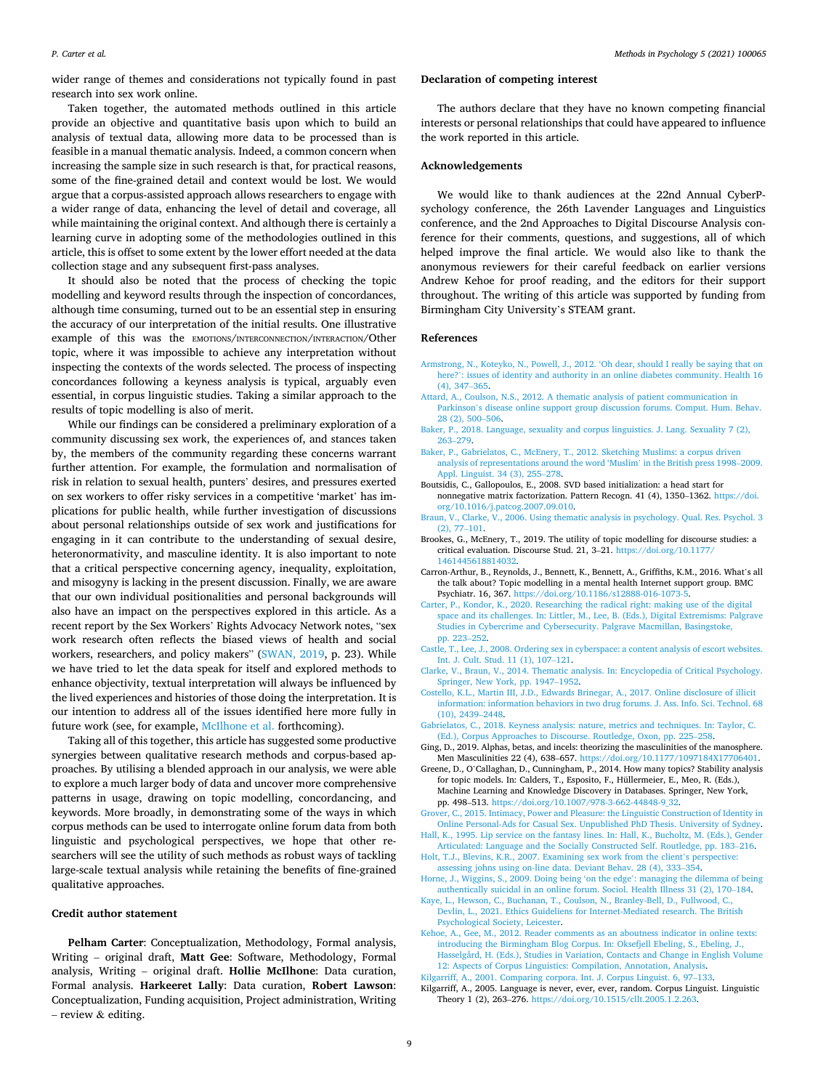<span id="page-8-0"></span>wider range of themes and considerations not typically found in past research into sex work online.

Taken together, the automated methods outlined in this article provide an objective and quantitative basis upon which to build an analysis of textual data, allowing more data to be processed than is feasible in a manual thematic analysis. Indeed, a common concern when increasing the sample size in such research is that, for practical reasons, some of the fine-grained detail and context would be lost. We would argue that a corpus-assisted approach allows researchers to engage with a wider range of data, enhancing the level of detail and coverage, all while maintaining the original context. And although there is certainly a learning curve in adopting some of the methodologies outlined in this article, this is offset to some extent by the lower effort needed at the data collection stage and any subsequent first-pass analyses.

It should also be noted that the process of checking the topic modelling and keyword results through the inspection of concordances, although time consuming, turned out to be an essential step in ensuring the accuracy of our interpretation of the initial results. One illustrative example of this was the EMOTIONS/INTERCONNECTION/INTERACTION/Other topic, where it was impossible to achieve any interpretation without inspecting the contexts of the words selected. The process of inspecting concordances following a keyness analysis is typical, arguably even essential, in corpus linguistic studies. Taking a similar approach to the results of topic modelling is also of merit.

While our findings can be considered a preliminary exploration of a community discussing sex work, the experiences of, and stances taken by, the members of the community regarding these concerns warrant further attention. For example, the formulation and normalisation of risk in relation to sexual health, punters' desires, and pressures exerted on sex workers to offer risky services in a competitive 'market' has implications for public health, while further investigation of discussions about personal relationships outside of sex work and justifications for engaging in it can contribute to the understanding of sexual desire, heteronormativity, and masculine identity. It is also important to note that a critical perspective concerning agency, inequality, exploitation, and misogyny is lacking in the present discussion. Finally, we are aware that our own individual positionalities and personal backgrounds will also have an impact on the perspectives explored in this article. As a recent report by the Sex Workers' Rights Advocacy Network notes, "sex work research often reflects the biased views of health and social workers, researchers, and policy makers" ([SWAN, 2019](#page-9-0), p. 23). While we have tried to let the data speak for itself and explored methods to enhance objectivity, textual interpretation will always be influenced by the lived experiences and histories of those doing the interpretation. It is our intention to address all of the issues identified here more fully in future work (see, for example, [McIlhone et al.](#page-9-0) forthcoming).

Taking all of this together, this article has suggested some productive synergies between qualitative research methods and corpus-based approaches. By utilising a blended approach in our analysis, we were able to explore a much larger body of data and uncover more comprehensive patterns in usage, drawing on topic modelling, concordancing, and keywords. More broadly, in demonstrating some of the ways in which corpus methods can be used to interrogate online forum data from both linguistic and psychological perspectives, we hope that other researchers will see the utility of such methods as robust ways of tackling large-scale textual analysis while retaining the benefits of fine-grained qualitative approaches.

### **Credit author statement**

**Pelham Carter**: Conceptualization, Methodology, Formal analysis, Writing – original draft, **Matt Gee**: Software, Methodology, Formal analysis, Writing – original draft. **Hollie McIlhone**: Data curation, Formal analysis. **Harkeeret Lally**: Data curation, **Robert Lawson**: Conceptualization, Funding acquisition, Project administration, Writing – review & editing.

## **Declaration of competing interest**

The authors declare that they have no known competing financial interests or personal relationships that could have appeared to influence the work reported in this article.

### **Acknowledgements**

We would like to thank audiences at the 22nd Annual CyberPsychology conference, the 26th Lavender Languages and Linguistics conference, and the 2nd Approaches to Digital Discourse Analysis conference for their comments, questions, and suggestions, all of which helped improve the final article. We would also like to thank the anonymous reviewers for their careful feedback on earlier versions Andrew Kehoe for proof reading, and the editors for their support throughout. The writing of this article was supported by funding from Birmingham City University's STEAM grant.

## **References**

- [Armstrong, N., Koteyko, N., Powell, J., 2012. 'Oh dear, should I really be saying that on](http://refhub.elsevier.com/S2590-2601(21)00022-9/sref1)  here?'[: issues of identity and authority in an online diabetes community. Health 16](http://refhub.elsevier.com/S2590-2601(21)00022-9/sref1)  [\(4\), 347](http://refhub.elsevier.com/S2590-2601(21)00022-9/sref1)–365.
- [Attard, A., Coulson, N.S., 2012. A thematic analysis of patient communication in](http://refhub.elsevier.com/S2590-2601(21)00022-9/sref2)  Parkinson'[s disease online support group discussion forums. Comput. Hum. Behav.](http://refhub.elsevier.com/S2590-2601(21)00022-9/sref2)  [28 \(2\), 500](http://refhub.elsevier.com/S2590-2601(21)00022-9/sref2)–506.
- [Baker, P., 2018. Language, sexuality and corpus linguistics. J. Lang. Sexuality 7 \(2\),](http://refhub.elsevier.com/S2590-2601(21)00022-9/sref3)  263–[279](http://refhub.elsevier.com/S2590-2601(21)00022-9/sref3).
- [Baker, P., Gabrielatos, C., McEnery, T., 2012. Sketching Muslims: a corpus driven](http://refhub.elsevier.com/S2590-2601(21)00022-9/sref4)  [analysis of representations around the word 'Muslim](http://refhub.elsevier.com/S2590-2601(21)00022-9/sref4)' in the British press 1998–2009. [Appl. Linguist. 34 \(3\), 255](http://refhub.elsevier.com/S2590-2601(21)00022-9/sref4)–278.
- Boutsidis, C., Gallopoulos, E., 2008. SVD based initialization: a head start for nonnegative matrix factorization. Pattern Recogn. 41 (4), 1350–1362. [https://doi.](https://doi.org/10.1016/j.patcog.2007.09.010) [org/10.1016/j.patcog.2007.09.010](https://doi.org/10.1016/j.patcog.2007.09.010).
- [Braun, V., Clarke, V., 2006. Using thematic analysis in psychology. Qual. Res. Psychol. 3](http://refhub.elsevier.com/S2590-2601(21)00022-9/sref7)  [\(2\), 77](http://refhub.elsevier.com/S2590-2601(21)00022-9/sref7)–101.
- Brookes, G., McEnery, T., 2019. The utility of topic modelling for discourse studies: a critical evaluation. Discourse Stud. 21, 3–21. [https://doi.org/10.1177/](https://doi.org/10.1177/1461445618814032) [1461445618814032.](https://doi.org/10.1177/1461445618814032)
- Carron-Arthur, B., Reynolds, J., Bennett, K., Bennett, A., Griffiths, K.M., 2016. What's all the talk about? Topic modelling in a mental health Internet support group. BMC Psychiatr. 16, 367.<https://doi.org/10.1186/s12888-016-1073-5>.
- [Carter, P., Kondor, K., 2020. Researching the radical right: making use of the digital](http://refhub.elsevier.com/S2590-2601(21)00022-9/sref11)  [space and its challenges. In: Littler, M., Lee, B. \(Eds.\), Digital Extremisms: Palgrave](http://refhub.elsevier.com/S2590-2601(21)00022-9/sref11)  [Studies in Cybercrime and Cybersecurity. Palgrave Macmillan, Basingstoke,](http://refhub.elsevier.com/S2590-2601(21)00022-9/sref11)  [pp. 223](http://refhub.elsevier.com/S2590-2601(21)00022-9/sref11)–252.
- [Castle, T., Lee, J., 2008. Ordering sex in cyberspace: a content analysis of escort websites.](http://refhub.elsevier.com/S2590-2601(21)00022-9/sref12)  [Int. J. Cult. Stud. 11 \(1\), 107](http://refhub.elsevier.com/S2590-2601(21)00022-9/sref12)–121.
- [Clarke, V., Braun, V., 2014. Thematic analysis. In: Encyclopedia of Critical Psychology.](http://refhub.elsevier.com/S2590-2601(21)00022-9/sref13)  [Springer, New York, pp. 1947](http://refhub.elsevier.com/S2590-2601(21)00022-9/sref13)–1952.
- [Costello, K.L., Martin III, J.D., Edwards Brinegar, A., 2017. Online disclosure of illicit](http://refhub.elsevier.com/S2590-2601(21)00022-9/sref14)  [information: information behaviors in two drug forums. J. Ass. Info. Sci. Technol. 68](http://refhub.elsevier.com/S2590-2601(21)00022-9/sref14)  [\(10\), 2439](http://refhub.elsevier.com/S2590-2601(21)00022-9/sref14)–2448.
- [Gabrielatos, C., 2018. Keyness analysis: nature, metrics and techniques. In: Taylor, C.](http://refhub.elsevier.com/S2590-2601(21)00022-9/sref15)  [\(Ed.\), Corpus Approaches to Discourse. Routledge, Oxon, pp. 225](http://refhub.elsevier.com/S2590-2601(21)00022-9/sref15)–258.
- Ging, D., 2019. Alphas, betas, and incels: theorizing the masculinities of the manosphere. Men Masculinities 22 (4), 638–657.<https://doi.org/10.1177/1097184X17706401>.
- Greene, D., O'Callaghan, D., Cunningham, P., 2014. How many topics? Stability analysis for topic models. In: Calders, T., Esposito, F., Hüllermeier, E., Meo, R. (Eds.), Machine Learning and Knowledge Discovery in Databases. Springer, New York, pp. 498–513. [https://doi.org/10.1007/978-3-662-44848-9\\_32](https://doi.org/10.1007/978-3-662-44848-9_32).
- [Grover, C., 2015. Intimacy, Power and Pleasure: the Linguistic Construction of Identity in](http://refhub.elsevier.com/S2590-2601(21)00022-9/sref18)  [Online Personal-Ads for Casual Sex. Unpublished PhD Thesis. University of Sydney.](http://refhub.elsevier.com/S2590-2601(21)00022-9/sref18)
- [Hall, K., 1995. Lip service on the fantasy lines. In: Hall, K., Bucholtz, M. \(Eds.\), Gender](http://refhub.elsevier.com/S2590-2601(21)00022-9/sref19)  [Articulated: Language and the Socially Constructed Self. Routledge, pp. 183](http://refhub.elsevier.com/S2590-2601(21)00022-9/sref19)–216.
- [Holt, T.J., Blevins, K.R., 2007. Examining sex work from the client](http://refhub.elsevier.com/S2590-2601(21)00022-9/sref20)'s perspective: [assessing johns using on-line data. Deviant Behav. 28 \(4\), 333](http://refhub.elsevier.com/S2590-2601(21)00022-9/sref20)–354.
- [Horne, J., Wiggins, S., 2009. Doing being 'on the edge](http://refhub.elsevier.com/S2590-2601(21)00022-9/sref21)': managing the dilemma of being [authentically suicidal in an online forum. Sociol. Health Illness 31 \(2\), 170](http://refhub.elsevier.com/S2590-2601(21)00022-9/sref21)–184.
- [Kaye, L., Hewson, C., Buchanan, T., Coulson, N., Branley-Bell, D., Fullwood, C.,](http://refhub.elsevier.com/S2590-2601(21)00022-9/sref8)  [Devlin, L., 2021. Ethics Guideliens for Internet-Mediated research. The British](http://refhub.elsevier.com/S2590-2601(21)00022-9/sref8) [Psychological Society, Leicester](http://refhub.elsevier.com/S2590-2601(21)00022-9/sref8).
- [Kehoe, A., Gee, M., 2012. Reader comments as an aboutness indicator in online texts:](http://refhub.elsevier.com/S2590-2601(21)00022-9/sref22)  [introducing the Birmingham Blog Corpus. In: Oksefjell Ebeling, S., Ebeling, J.,](http://refhub.elsevier.com/S2590-2601(21)00022-9/sref22) [Hasselgård, H. \(Eds.\), Studies in Variation, Contacts and Change in English Volume](http://refhub.elsevier.com/S2590-2601(21)00022-9/sref22)  [12: Aspects of Corpus Linguistics: Compilation, Annotation, Analysis.](http://refhub.elsevier.com/S2590-2601(21)00022-9/sref22) [Kilgarriff, A., 2001. Comparing corpora. Int. J. Corpus Linguist. 6, 97](http://refhub.elsevier.com/S2590-2601(21)00022-9/sref23)–133.
- Kilgarriff, A., 2005. Language is never, ever, ever, random. Corpus Linguist. Linguistic Theory 1 (2), 263–276.<https://doi.org/10.1515/cllt.2005.1.2.263>.